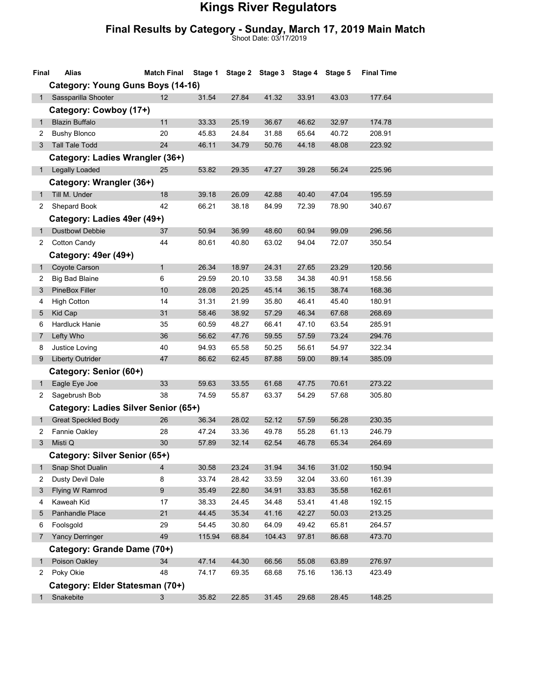## Kings River Regulators

## Final Results by Category - Sunday, March 17, 2019 Main Match

Shoot Date: 03/17/2019

| Final        | Alias                                    | <b>Match Final</b> | Stage 1        |                | Stage 2 Stage 3 Stage 4 Stage 5 |                |                | <b>Final Time</b> |  |  |
|--------------|------------------------------------------|--------------------|----------------|----------------|---------------------------------|----------------|----------------|-------------------|--|--|
|              | <b>Category: Young Guns Boys (14-16)</b> |                    |                |                |                                 |                |                |                   |  |  |
| 1            | Sassparilla Shooter                      | 12                 | 31.54          | 27.84          | 41.32                           | 33.91          | 43.03          | 177.64            |  |  |
|              | Category: Cowboy (17+)                   |                    |                |                |                                 |                |                |                   |  |  |
| $\mathbf{1}$ | <b>Blazin Buffalo</b>                    | 11                 | 33.33          | 25.19          | 36.67                           | 46.62          | 32.97          | 174.78            |  |  |
| 2            | <b>Bushy Blonco</b>                      | 20                 | 45.83          | 24.84          | 31.88                           | 65.64          | 40.72          | 208.91            |  |  |
| 3            | <b>Tall Tale Todd</b>                    | 24                 | 46.11          | 34.79          | 50.76                           | 44.18          | 48.08          | 223.92            |  |  |
|              | Category: Ladies Wrangler (36+)          |                    |                |                |                                 |                |                |                   |  |  |
| 1            | <b>Legally Loaded</b>                    | 25                 | 53.82          | 29.35          | 47.27                           | 39.28          | 56.24          | 225.96            |  |  |
|              | Category: Wrangler (36+)                 |                    |                |                |                                 |                |                |                   |  |  |
| $\mathbf{1}$ | Till M. Under                            | 18                 | 39.18          | 26.09          | 42.88                           | 40.40          | 47.04          | 195.59            |  |  |
| 2            | Shepard Book                             | 42                 | 66.21          | 38.18          | 84.99                           | 72.39          | 78.90          | 340.67            |  |  |
|              | Category: Ladies 49er (49+)              |                    |                |                |                                 |                |                |                   |  |  |
| 1            | <b>Dustbowl Debbie</b>                   | 37                 | 50.94          | 36.99          | 48.60                           | 60.94          | 99.09          | 296.56            |  |  |
| 2            | <b>Cotton Candy</b>                      | 44                 | 80.61          | 40.80          | 63.02                           | 94.04          | 72.07          | 350.54            |  |  |
|              | Category: 49er (49+)                     |                    |                |                |                                 |                |                |                   |  |  |
| $\mathbf{1}$ | Coyote Carson                            | $\mathbf{1}$       | 26.34          | 18.97          | 24.31                           | 27.65          | 23.29          | 120.56            |  |  |
| 2            | <b>Big Bad Blaine</b>                    | 6                  | 29.59          | 20.10          | 33.58                           | 34.38          | 40.91          | 158.56            |  |  |
| 3            | PineBox Filler                           | 10                 | 28.08          | 20.25          | 45.14                           | 36.15          | 38.74          | 168.36            |  |  |
| 4            | <b>High Cotton</b>                       | 14                 | 31.31          | 21.99          | 35.80                           | 46.41          | 45.40          | 180.91            |  |  |
| 5            | Kid Cap                                  | 31                 | 58.46          | 38.92          | 57.29                           | 46.34          | 67.68          | 268.69            |  |  |
| 6<br>7       | Hardluck Hanie<br>Lefty Who              | 35<br>36           | 60.59<br>56.62 | 48.27<br>47.76 | 66.41<br>59.55                  | 47.10<br>57.59 | 63.54<br>73.24 | 285.91<br>294.76  |  |  |
| 8            | Justice Loving                           | 40                 | 94.93          | 65.58          | 50.25                           | 56.61          | 54.97          | 322.34            |  |  |
| 9            | <b>Liberty Outrider</b>                  | 47                 | 86.62          | 62.45          | 87.88                           | 59.00          | 89.14          | 385.09            |  |  |
|              | Category: Senior (60+)                   |                    |                |                |                                 |                |                |                   |  |  |
| $\mathbf{1}$ | Eagle Eye Joe                            | 33                 | 59.63          | 33.55          | 61.68                           | 47.75          | 70.61          | 273.22            |  |  |
| 2            | Sagebrush Bob                            | 38                 | 74.59          | 55.87          | 63.37                           | 54.29          | 57.68          | 305.80            |  |  |
|              | Category: Ladies Silver Senior (65+)     |                    |                |                |                                 |                |                |                   |  |  |
| $\mathbf{1}$ | <b>Great Speckled Body</b>               | 26                 | 36.34          | 28.02          | 52.12                           | 57.59          | 56.28          | 230.35            |  |  |
| 2            | Fannie Oakley                            | 28                 | 47.24          | 33.36          | 49.78                           | 55.28          | 61.13          | 246.79            |  |  |
| 3            | Misti Q                                  | 30                 | 57.89          | 32.14          | 62.54                           | 46.78          | 65.34          | 264.69            |  |  |
|              | Category: Silver Senior (65+)            |                    |                |                |                                 |                |                |                   |  |  |
| $\mathbf 1$  | Snap Shot Dualin                         | $\overline{4}$     | 30.58          | 23.24          | 31.94                           | 34.16          | 31.02          | 150.94            |  |  |
| 2            | Dusty Devil Dale                         | 8                  | 33.74          | 28.42          | 33.59                           | 32.04          | 33.60          | 161.39            |  |  |
| 3            | Flying W Ramrod                          | 9                  | 35.49          | 22.80          | 34.91                           | 33.83          | 35.58          | 162.61            |  |  |
| 4            | Kaweah Kid                               | 17                 | 38.33          | 24.45          | 34.48                           | 53.41          | 41.48          | 192.15            |  |  |
| 5            | Panhandle Place                          | 21                 | 44.45          | 35.34          | 41.16                           | 42.27          | 50.03          | 213.25            |  |  |
| 6            | Foolsgold                                | 29                 | 54.45          | 30.80          | 64.09                           | 49.42          | 65.81          | 264.57            |  |  |
| 7            | <b>Yancy Derringer</b>                   | 49                 | 115.94         | 68.84          | 104.43                          | 97.81          | 86.68          | 473.70            |  |  |
|              | Category: Grande Dame (70+)              |                    |                |                |                                 |                |                |                   |  |  |
| 1            | Poison Oakley                            | 34                 | 47.14          | 44.30          | 66.56                           | 55.08          | 63.89          | 276.97            |  |  |
| $\mathbf{2}$ | Poky Okie                                | 48                 | 74.17          | 69.35          | 68.68                           | 75.16          | 136.13         | 423.49            |  |  |
|              | Category: Elder Statesman (70+)          |                    |                |                |                                 |                |                |                   |  |  |
| $\mathbf{1}$ | Snakebite                                | 3                  | 35.82          | 22.85          | 31.45                           | 29.68          | 28.45          | 148.25            |  |  |